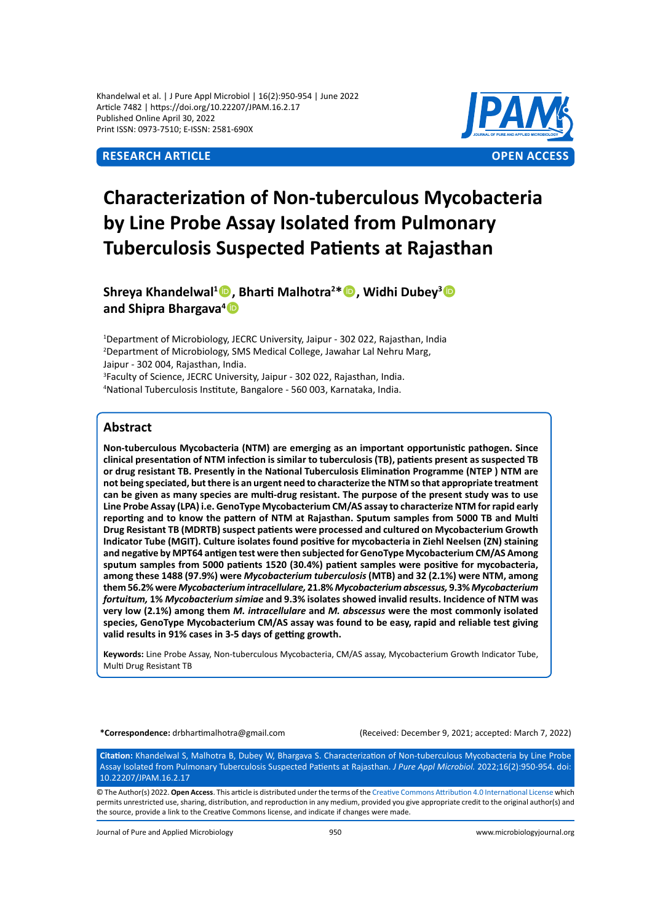Khandelwal et al. | J Pure Appl Microbiol | 16(2):950-954 | June 2022 Article 7482 | https://doi.org/10.22207/JPAM.16.2.17 Published Online April 30, 2022 Print ISSN: 0973-7510; E-ISSN: 2581-690X



# **Characterization of Non-tuberculous Mycobacteria by Line Probe Assay Isolated from Pulmonary Tuberculosis Suspected Patients at Rajasthan**

**Shreya Khandelwal<sup>1</sup> , Bharti Malhotra<sup>2</sup> \*, Widhi Dubey<sup>3</sup> and Shipra Bhargava4**

<sup>1</sup>Department of Microbiology, JECRC University, Jaipur - 302 022, Rajasthan, India 2 Department of Microbiology, SMS Medical College, Jawahar Lal Nehru Marg, Jaipur - 302 004, Rajasthan, India.

<sup>3</sup>Faculty of Science, JECRC University, Jaipur - 302 022, Rajasthan, India. 4 National Tuberculosis Institute, Bangalore - 560 003, Karnataka, India.

# **Abstract**

**Non-tuberculous Mycobacteria (NTM) are emerging as an important opportunistic pathogen. Since clinical presentation of NTM infection is similar to tuberculosis (TB), patients present as suspected TB or drug resistant TB. Presently in the National Tuberculosis Elimination Programme (NTEP ) NTM are not being speciated, but there is an urgent need to characterize the NTM so that appropriate treatment can be given as many species are multi-drug resistant. The purpose of the present study was to use Line Probe Assay (LPA) i.e. GenoType Mycobacterium CM/AS assay to characterize NTM for rapid early reporting and to know the pattern of NTM at Rajasthan. Sputum samples from 5000 TB and Multi Drug Resistant TB (MDRTB) suspect patients were processed and cultured on Mycobacterium Growth Indicator Tube (MGIT). Culture isolates found positive for mycobacteria in Ziehl Neelsen (ZN) staining and negative by MPT64 antigen test were then subjected for GenoType Mycobacterium CM/AS Among sputum samples from 5000 patients 1520 (30.4%) patient samples were positive for mycobacteria, among these 1488 (97.9%) were** *Mycobacterium tuberculosis* **(MTB) and 32 (2.1%) were NTM, among them 56.2% were** *Mycobacterium intracellulare,* **21.8%** *Mycobacterium abscessus,* **9.3%** *Mycobacterium fortuitum,* **1%** *Mycobacterium simiae* **and 9.3% isolates showed invalid results. Incidence of NTM was very low (2.1%) among them** *M. intracellulare* **and** *M. abscessus* **were the most commonly isolated species, GenoType Mycobacterium CM/AS assay was found to be easy, rapid and reliable test giving valid results in 91% cases in 3-5 days of getting growth.**

**Keywords:** Line Probe Assay, Non-tuberculous Mycobacteria, CM/AS assay, Mycobacterium Growth Indicator Tube, Multi Drug Resistant TB

**\*Correspondence:** drbhartimalhotra@gmail.com (Received: December 9, 2021; accepted: March 7, 2022)

**Citation:** Khandelwal S, Malhotra B, Dubey W, Bhargava S. Characterization of Non-tuberculous Mycobacteria by Line Probe Assay Isolated from Pulmonary Tuberculosis Suspected Patients at Rajasthan. *J Pure Appl Microbiol.* 2022;16(2):950-954. doi: 10.22207/JPAM.16.2.17

© The Author(s) 2022. **Open Access**. This article is distributed underthe terms of the Creative Commons Attribution 4.0 [International](https://creativecommons.org/licenses/by/4.0/) License which permits unrestricted use,sharing, distribution, and reproduction in any medium, provided you give appropriate credit to the original author(s) and the source, provide a link to the Creative Commons license, and indicate if changes were made.

Journal of Pure and Applied Microbiology 950 www.microbiologyjournal.org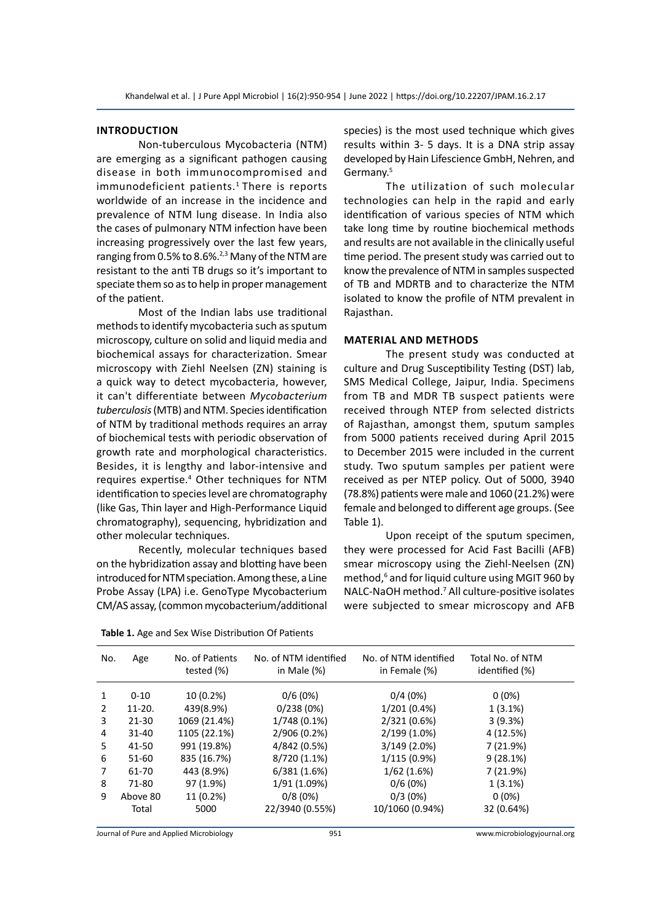#### **Introduction**

 Non-tuberculous Mycobacteria (NTM) are emerging as a significant pathogen causing disease in both immunocompromised and immunodeficient patients.<sup>1</sup> There is reports worldwide of an increase in the incidence and prevalence of NTM lung disease. In India also the cases of pulmonary NTM infection have been increasing progressively over the last few years, ranging from 0.5% to 8.6%.<sup>2,3</sup> Many of the NTM are resistant to the anti TB drugs so it's important to speciate them so as to help in proper management of the patient.

 Most of the Indian labs use traditional methods to identify mycobacteria such as sputum microscopy, culture on solid and liquid media and biochemical assays for characterization. Smear microscopy with Ziehl Neelsen (ZN) staining is a quick way to detect mycobacteria, however, it can't differentiate between *Mycobacterium*  tuberculosis (MTB) and NTM. Species identification of NTM by traditional methods requires an array of biochemical tests with periodic observation of growth rate and morphological characteristics. Besides, it is lengthy and labor-intensive and requires expertise.<sup>4</sup> Other techniques for NTM identification to species level are chromatography (like Gas, Thin layer and High-Performance Liquid chromatography), sequencing, hybridization and other molecular techniques.

 Recently, molecular techniques based on the hybridization assay and blotting have been introduced for NTM speciation. Among these, a Line Probe Assay (LPA) i.e. GenoType Mycobacterium CM/AS assay, (common mycobacterium/additional species) is the most used technique which gives results within 3- 5 days. It is a DNA strip assay developed by Hain Lifescience GmbH, Nehren, and Germany.5

 The utilization of such molecular technologies can help in the rapid and early identification of various species of NTM which take long time by routine biochemical methods and results are not available in the clinically useful time period. The present study was carried out to know the prevalence of NTM in samples suspected of TB and MDRTB and to characterize the NTM isolated to know the profile of NTM prevalent in Rajasthan.

#### **Material and methods**

 The present study was conducted at culture and Drug Susceptibility Testing (DST) lab, SMS Medical College, Jaipur, India. Specimens from TB and MDR TB suspect patients were received through NTEP from selected districts of Rajasthan, amongst them, sputum samples from 5000 patients received during April 2015 to December 2015 were included in the current study. Two sputum samples per patient were received as per NTEP policy. Out of 5000, 3940 (78.8%) patients weremale and 1060 (21.2%) were female and belonged to different age groups. (See Table 1).

 Upon receipt of the sputum specimen, they were processed for Acid Fast Bacilli (AFB) smear microscopy using the Ziehl-Neelsen (ZN) method,<sup>6</sup> and for liquid culture using MGIT 960 by NALC-NaOH method.7 All culture-positive isolates were subjected to smear microscopy and AFB

| No.            | Age       | No. of Patients<br>tested $(\%)$ | No. of NTM identified<br>in Male $(\%)$ | No. of NTM identified<br>in Female (%) | Total No. of NTM<br>identified (%) |
|----------------|-----------|----------------------------------|-----------------------------------------|----------------------------------------|------------------------------------|
| 1              | $0 - 10$  | 10 (0.2%)                        | 0/6(0%)                                 | 0/4(0%)                                | $0(0\%)$                           |
| $\overline{2}$ | $11-20.$  | 439(8.9%)                        | 0/238(0%)                               | 1/201 (0.4%)                           | $1(3.1\%)$                         |
| 3              | $21 - 30$ | 1069 (21.4%)                     | 1/748 (0.1%)                            | 2/321 (0.6%)                           | 3(9.3%)                            |
| 4              | $31 - 40$ | 1105 (22.1%)                     | 2/906 (0.2%)                            | 2/199 (1.0%)                           | 4 (12.5%)                          |
| 5              | 41-50     | 991 (19.8%)                      | 4/842 (0.5%)                            | 3/149 (2.0%)                           | 7(21.9%)                           |
| 6              | 51-60     | 835 (16.7%)                      | 8/720 (1.1%)                            | 1/115 (0.9%)                           | 9(28.1%)                           |
| 7              | 61-70     | 443 (8.9%)                       | 6/381(1.6%)                             | 1/62(1.6%)                             | 7 (21.9%)                          |
| 8              | 71-80     | 97 (1.9%)                        | 1/91 (1.09%)                            | 0/6(0%)                                | $1(3.1\%)$                         |
| 9              | Above 80  | 11 (0.2%)                        | 0/8(0%)                                 | $0/3(0\%)$                             | $0(0\%)$                           |
|                | Total     | 5000                             | 22/3940 (0.55%)                         | 10/1060 (0.94%)                        | 32 (0.64%)                         |

**Table 1.** Age and Sex Wise Distribution Of Patients

Journal of Pure and Applied Microbiology 951 www.microbiologyjournal.org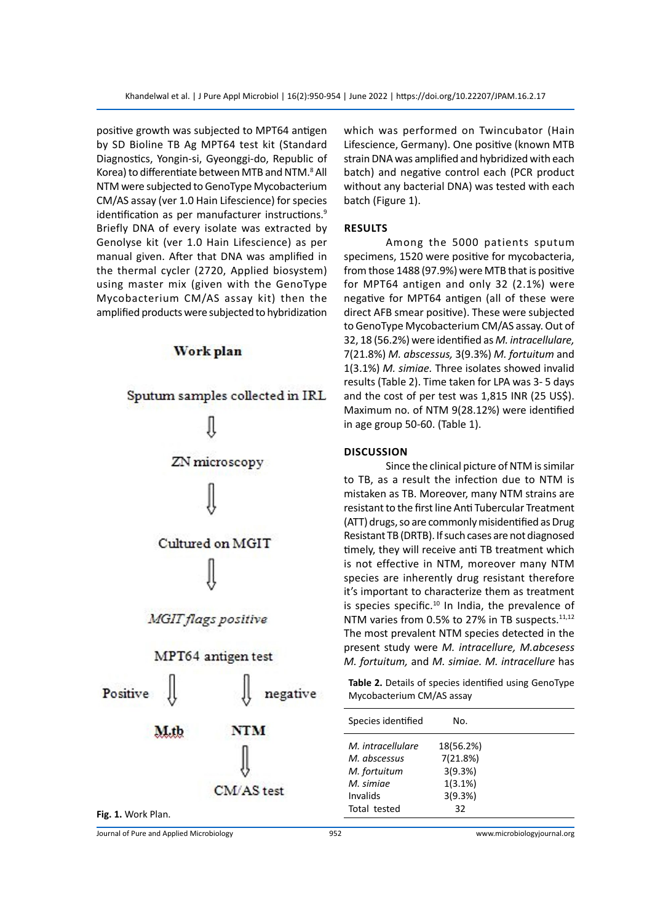positive growth was subjected to MPT64 antigen by SD Bioline TB Ag MPT64 test kit (Standard Diagnostics, Yongin-si, Gyeonggi-do, Republic of Korea) to differentiate between MTB and NTM.<sup>8</sup> All NTM were subjected to GenoType Mycobacterium CM/AS assay (ver 1.0 Hain Lifescience) for species identification as per manufacturer instructions.<sup>9</sup> Briefly DNA of every isolate was extracted by Genolyse kit (ver 1.0 Hain Lifescience) as per manual given. After that DNA was amplified in the thermal cycler (2720, Applied biosystem) using master mix (given with the GenoType Mycobacterium CM/AS assay kit) then the amplified products were subjected to hybridization



# Work plan

Fig. 1. Work Plan.

which was performed on Twincubator (Hain Lifescience, Germany). One positive (known MTB strain DNA was amplified and hybridized with each batch) and negative control each (PCR product without any bacterial DNA) was tested with each batch (Figure 1).

### **Results**

 Among the 5000 patients sputum specimens, 1520 were positive for mycobacteria, from those 1488 (97.9%) were MTB that is positive for MPT64 antigen and only 32 (2.1%) were negative for MPT64 antigen (all of these were direct AFB smear positive). These were subjected to GenoType Mycobacterium CM/AS assay. Out of 32, 18 (56.2%) were identified as *M. intracellulare,* 7(21.8%) *M. abscessus,* 3(9.3%) *M. fortuitum* and 1(3.1%) *M. simiae.* Three isolates showed invalid results (Table 2). Time taken for LPA was 3- 5 days and the cost of per test was 1,815 INR (25 US\$). Maximum no. of NTM 9(28.12%) were identified in age group 50-60. (Table 1).

#### **Discussion**

Since the clinical picture of NTM is similar to TB, as a result the infection due to NTM is mistaken as TB. Moreover, many NTM strains are resistant to the first line Anti Tubercular Treatment (ATT) drugs, so are commonly misidentified as Drug Resistant TB (DRTB). If such cases are not diagnosed timely, they will receive anti TB treatment which is not effective in NTM, moreover many NTM species are inherently drug resistant therefore it's important to characterize them as treatment is species specific.<sup>10</sup> In India, the prevalence of NTM varies from 0.5% to 27% in TB suspects.<sup>11,12</sup> The most prevalent NTM species detected in the present study were *M. intracellure, M.abcesess M. fortuitum,* and *M. simiae. M. intracellure* has

**Table 2.** Details of species identified using GenoType Mycobacterium CM/AS assay

| Species identified | N٥.       |  |
|--------------------|-----------|--|
| M. intracellulare  | 18(56.2%) |  |
| M. abscessus       | 7(21.8%)  |  |
| M. fortuitum       | 3(9.3%)   |  |
| M. simiae          | 1(3.1%)   |  |
| Invalids           | 3(9.3%)   |  |
| Total tested       | 32        |  |

Journal of Pure and Applied Microbiology 952 www.microbiologyjournal.org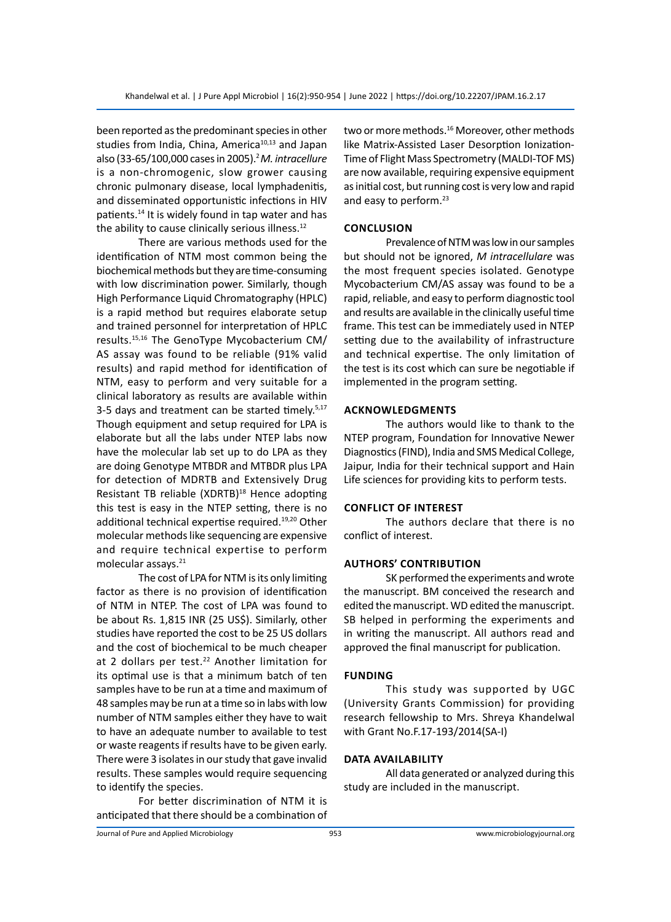been reported as the predominant species in other studies from India, China, America<sup>10,13</sup> and Japan also (33-65/100,000 casesin 2005).2*M. intracellure*  is a non-chromogenic, slow grower causing chronic pulmonary disease, local lymphadenitis, and disseminated opportunistic infections in HIV patients.14 It is widely found in tap water and has the ability to cause clinically serious illness.<sup>12</sup>

 There are various methods used for the identification of NTM most common being the biochemical methods but they are time-consuming with low discrimination power. Similarly, though High Performance Liquid Chromatography (HPLC) is a rapid method but requires elaborate setup and trained personnel for interpretation of HPLC results.15,16 The GenoType Mycobacterium CM/ AS assay was found to be reliable (91% valid results) and rapid method for identification of NTM, easy to perform and very suitable for a clinical laboratory as results are available within 3-5 days and treatment can be started timely.<sup>5,17</sup> Though equipment and setup required for LPA is elaborate but all the labs under NTEP labs now have the molecular lab set up to do LPA as they are doing Genotype MTBDR and MTBDR plus LPA for detection of MDRTB and Extensively Drug Resistant TB reliable (XDRTB)<sup>18</sup> Hence adopting this test is easy in the NTEP setting, there is no additional technical expertise required.19,20 Other molecular methods like sequencing are expensive and require technical expertise to perform molecular assays.<sup>21</sup>

The cost of LPA for NTM is its only limiting factor as there is no provision of identification of NTM in NTEP. The cost of LPA was found to be about Rs. 1,815 INR (25 US\$). Similarly, other studies have reported the cost to be 25 US dollars and the cost of biochemical to be much cheaper at 2 dollars per test.<sup>22</sup> Another limitation for its optimal use is that a minimum batch of ten samples have to be run at a time and maximum of 48 samples may be run at a time so in labs with low number of NTM samples either they have to wait to have an adequate number to available to test or waste reagents if results have to be given early. There were 3 isolates in our study that gave invalid results. These samples would require sequencing to identify the species.

 For better discrimination of NTM it is anticipated that there should be a combination of two or more methods.<sup>16</sup> Moreover, other methods like Matrix-Assisted Laser Desorption Ionization-Time of Flight Mass Spectrometry (MALDI-TOF MS) are now available, requiring expensive equipment as initial cost, but running cost is very low and rapid and easy to perform.<sup>23</sup>

# **Conclusion**

Prevalence of NTM was low in our samples but should not be ignored, *M intracellulare* was the most frequent species isolated. Genotype Mycobacterium CM/AS assay was found to be a rapid, reliable, and easy to perform diagnostic tool and results are available in the clinically useful time frame. This test can be immediately used in NTEP setting due to the availability of infrastructure and technical expertise. The only limitation of the test is its cost which can sure be negotiable if implemented in the program setting.

# **Acknowledgments**

 The authors would like to thank to the NTEP program, Foundation for Innovative Newer Diagnostics(FIND), India and SMS Medical College, Jaipur, India for their technical support and Hain Life sciences for providing kits to perform tests.

# **Conflict of Interest**

 The authors declare that there is no conflict of interest.

# **Authors' Contribution**

 SK performed the experiments and wrote the manuscript. BM conceived the research and edited the manuscript. WD edited the manuscript. SB helped in performing the experiments and in writing the manuscript. All authors read and approved the final manuscript for publication.

#### **Funding**

 This study was supported by UGC (University Grants Commission) for providing research fellowship to Mrs. Shreya Khandelwal with Grant No.F.17-193/2014(SA-I)

# **Data Availability**

 All data generated or analyzed during this study are included in the manuscript.